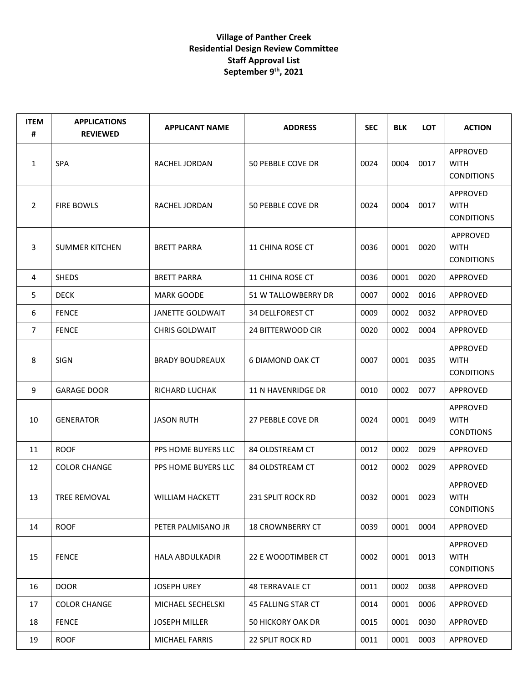## **Village of Panther Creek Residential Design Review Committee Staff Approval List September 9 th, 2021**

| <b>ITEM</b><br># | <b>APPLICATIONS</b><br><b>REVIEWED</b> | <b>APPLICANT NAME</b>   | <b>ADDRESS</b>            | <b>SEC</b> | <b>BLK</b> | <b>LOT</b> | <b>ACTION</b>                                |
|------------------|----------------------------------------|-------------------------|---------------------------|------------|------------|------------|----------------------------------------------|
| 1                | <b>SPA</b>                             | RACHEL JORDAN           | 50 PEBBLE COVE DR         | 0024       | 0004       | 0017       | APPROVED<br><b>WITH</b><br><b>CONDITIONS</b> |
| $\overline{2}$   | <b>FIRE BOWLS</b>                      | RACHEL JORDAN           | 50 PEBBLE COVE DR         | 0024       | 0004       | 0017       | APPROVED<br><b>WITH</b><br><b>CONDITIONS</b> |
| 3                | <b>SUMMER KITCHEN</b>                  | <b>BRETT PARRA</b>      | <b>11 CHINA ROSE CT</b>   | 0036       | 0001       | 0020       | APPROVED<br><b>WITH</b><br><b>CONDITIONS</b> |
| 4                | <b>SHEDS</b>                           | <b>BRETT PARRA</b>      | 11 CHINA ROSE CT          | 0036       | 0001       | 0020       | APPROVED                                     |
| 5                | <b>DECK</b>                            | <b>MARK GOODE</b>       | 51 W TALLOWBERRY DR       | 0007       | 0002       | 0016       | APPROVED                                     |
| 6                | <b>FENCE</b>                           | <b>JANETTE GOLDWAIT</b> | <b>34 DELLFOREST CT</b>   | 0009       | 0002       | 0032       | APPROVED                                     |
| $\overline{7}$   | <b>FENCE</b>                           | <b>CHRIS GOLDWAIT</b>   | 24 BITTERWOOD CIR         | 0020       | 0002       | 0004       | APPROVED                                     |
| 8                | <b>SIGN</b>                            | <b>BRADY BOUDREAUX</b>  | <b>6 DIAMOND OAK CT</b>   | 0007       | 0001       | 0035       | APPROVED<br><b>WITH</b><br><b>CONDITIONS</b> |
| 9                | <b>GARAGE DOOR</b>                     | RICHARD LUCHAK          | 11 N HAVENRIDGE DR        | 0010       | 0002       | 0077       | APPROVED                                     |
| 10               | <b>GENERATOR</b>                       | <b>JASON RUTH</b>       | 27 PEBBLE COVE DR         | 0024       | 0001       | 0049       | APPROVED<br><b>WITH</b><br><b>CONDTIONS</b>  |
| 11               | <b>ROOF</b>                            | PPS HOME BUYERS LLC     | 84 OLDSTREAM CT           | 0012       | 0002       | 0029       | APPROVED                                     |
| 12               | <b>COLOR CHANGE</b>                    | PPS HOME BUYERS LLC     | 84 OLDSTREAM CT           | 0012       | 0002       | 0029       | APPROVED                                     |
| 13               | TREE REMOVAL                           | WILLIAM HACKETT         | 231 SPLIT ROCK RD         | 0032       | 0001       | 0023       | APPROVED<br><b>WITH</b><br><b>CONDITIONS</b> |
| 14               | <b>ROOF</b>                            | PETER PALMISANO JR      | <b>18 CROWNBERRY CT</b>   | 0039       | 0001       | 0004       | APPROVED                                     |
| 15               | <b>FENCE</b>                           | <b>HALA ABDULKADIR</b>  | 22 E WOODTIMBER CT        | 0002       | 0001       | 0013       | APPROVED<br><b>WITH</b><br><b>CONDITIONS</b> |
| 16               | <b>DOOR</b>                            | <b>JOSEPH UREY</b>      | 48 TERRAVALE CT           | 0011       | 0002       | 0038       | <b>APPROVED</b>                              |
| 17               | <b>COLOR CHANGE</b>                    | MICHAEL SECHELSKI       | <b>45 FALLING STAR CT</b> | 0014       | 0001       | 0006       | APPROVED                                     |
| 18               | <b>FENCE</b>                           | <b>JOSEPH MILLER</b>    | 50 HICKORY OAK DR         | 0015       | 0001       | 0030       | APPROVED                                     |
| 19               | <b>ROOF</b>                            | MICHAEL FARRIS          | 22 SPLIT ROCK RD          | 0011       | 0001       | 0003       | APPROVED                                     |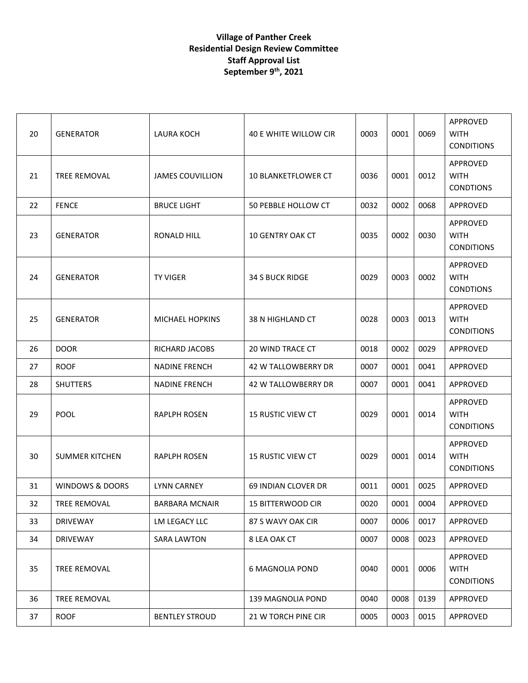## **Village of Panther Creek Residential Design Review Committee Staff Approval List September 9 th, 2021**

| 20 | <b>GENERATOR</b>      | LAURA KOCH              | 40 E WHITE WILLOW CIR      | 0003 | 0001 | 0069 | APPROVED<br><b>WITH</b><br><b>CONDITIONS</b> |
|----|-----------------------|-------------------------|----------------------------|------|------|------|----------------------------------------------|
| 21 | TREE REMOVAL          | <b>JAMES COUVILLION</b> | <b>10 BLANKETFLOWER CT</b> | 0036 | 0001 | 0012 | APPROVED<br><b>WITH</b><br><b>CONDTIONS</b>  |
| 22 | <b>FENCE</b>          | <b>BRUCE LIGHT</b>      | 50 PEBBLE HOLLOW CT        | 0032 | 0002 | 0068 | APPROVED                                     |
| 23 | <b>GENERATOR</b>      | <b>RONALD HILL</b>      | <b>10 GENTRY OAK CT</b>    | 0035 | 0002 | 0030 | APPROVED<br><b>WITH</b><br><b>CONDITIONS</b> |
| 24 | <b>GENERATOR</b>      | <b>TY VIGER</b>         | <b>34 S BUCK RIDGE</b>     | 0029 | 0003 | 0002 | APPROVED<br><b>WITH</b><br><b>CONDTIONS</b>  |
| 25 | <b>GENERATOR</b>      | <b>MICHAEL HOPKINS</b>  | 38 N HIGHLAND CT           | 0028 | 0003 | 0013 | APPROVED<br><b>WITH</b><br><b>CONDITIONS</b> |
| 26 | <b>DOOR</b>           | RICHARD JACOBS          | <b>20 WIND TRACE CT</b>    | 0018 | 0002 | 0029 | <b>APPROVED</b>                              |
| 27 | <b>ROOF</b>           | <b>NADINE FRENCH</b>    | 42 W TALLOWBERRY DR        | 0007 | 0001 | 0041 | APPROVED                                     |
| 28 | <b>SHUTTERS</b>       | <b>NADINE FRENCH</b>    | <b>42 W TALLOWBERRY DR</b> | 0007 | 0001 | 0041 | APPROVED                                     |
| 29 | <b>POOL</b>           | <b>RAPLPH ROSEN</b>     | <b>15 RUSTIC VIEW CT</b>   | 0029 | 0001 | 0014 | APPROVED<br><b>WITH</b><br><b>CONDITIONS</b> |
| 30 | <b>SUMMER KITCHEN</b> | <b>RAPLPH ROSEN</b>     | <b>15 RUSTIC VIEW CT</b>   | 0029 | 0001 | 0014 | APPROVED<br><b>WITH</b><br><b>CONDITIONS</b> |
| 31 | WINDOWS & DOORS       | <b>LYNN CARNEY</b>      | 69 INDIAN CLOVER DR        | 0011 | 0001 | 0025 | APPROVED                                     |
| 32 | TREE REMOVAL          | <b>BARBARA MCNAIR</b>   | 15 BITTERWOOD CIR          | 0020 | 0001 | 0004 | APPROVED                                     |
| 33 | <b>DRIVEWAY</b>       | LM LEGACY LLC           | 87 S WAVY OAK CIR          | 0007 | 0006 | 0017 | APPROVED                                     |
| 34 | <b>DRIVEWAY</b>       | <b>SARA LAWTON</b>      | 8 LEA OAK CT               | 0007 | 0008 | 0023 | APPROVED                                     |
| 35 | TREE REMOVAL          |                         | <b>6 MAGNOLIA POND</b>     | 0040 | 0001 | 0006 | APPROVED<br><b>WITH</b><br><b>CONDITIONS</b> |
| 36 | <b>TREE REMOVAL</b>   |                         | 139 MAGNOLIA POND          | 0040 | 0008 | 0139 | APPROVED                                     |
| 37 | <b>ROOF</b>           | <b>BENTLEY STROUD</b>   | 21 W TORCH PINE CIR        | 0005 | 0003 | 0015 | APPROVED                                     |